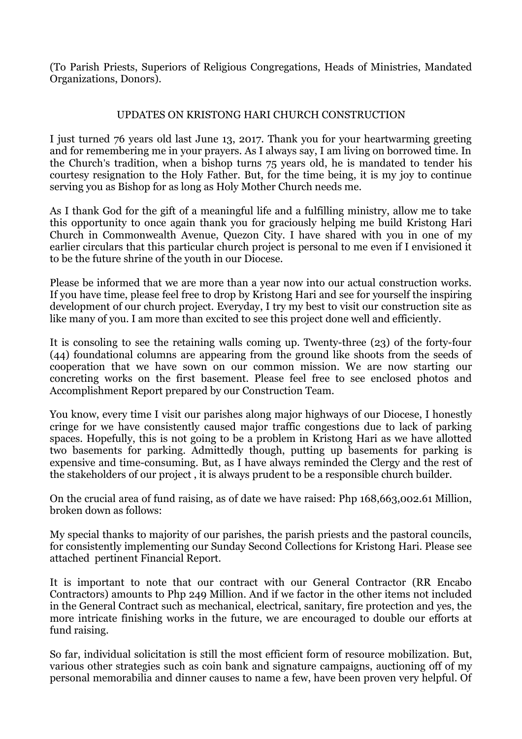(To Parish Priests, Superiors of Religious Congregations, Heads of Ministries, Mandated Organizations, Donors).

## UPDATES ON KRISTONG HARI CHURCH CONSTRUCTION

I just turned 76 years old last June 13, 2017. Thank you for your heartwarming greeting and for remembering me in your prayers. As I always say, I am living on borrowed time. In the Church's tradition, when a bishop turns 75 years old, he is mandated to tender his courtesy resignation to the Holy Father. But, for the time being, it is my joy to continue serving you as Bishop for as long as Holy Mother Church needs me.

As I thank God for the gift of a meaningful life and a fulfilling ministry, allow me to take this opportunity to once again thank you for graciously helping me build Kristong Hari Church in Commonwealth Avenue, Quezon City. I have shared with you in one of my earlier circulars that this particular church project is personal to me even if I envisioned it to be the future shrine of the youth in our Diocese.

Please be informed that we are more than a year now into our actual construction works. If you have time, please feel free to drop by Kristong Hari and see for yourself the inspiring development of our church project. Everyday, I try my best to visit our construction site as like many of you. I am more than excited to see this project done well and efficiently.

It is consoling to see the retaining walls coming up. Twenty-three (23) of the forty-four (44) foundational columns are appearing from the ground like shoots from the seeds of cooperation that we have sown on our common mission. We are now starting our concreting works on the first basement. Please feel free to see enclosed photos and Accomplishment Report prepared by our Construction Team.

You know, every time I visit our parishes along major highways of our Diocese, I honestly cringe for we have consistently caused major traffic congestions due to lack of parking spaces. Hopefully, this is not going to be a problem in Kristong Hari as we have allotted two basements for parking. Admittedly though, putting up basements for parking is expensive and time-consuming. But, as I have always reminded the Clergy and the rest of the stakeholders of our project , it is always prudent to be a responsible church builder.

On the crucial area of fund raising, as of date we have raised: Php 168,663,002.61 Million, broken down as follows:

My special thanks to majority of our parishes, the parish priests and the pastoral councils, for consistently implementing our Sunday Second Collections for Kristong Hari. Please see attached pertinent Financial Report.

It is important to note that our contract with our General Contractor (RR Encabo Contractors) amounts to Php 249 Million. And if we factor in the other items not included in the General Contract such as mechanical, electrical, sanitary, fire protection and yes, the more intricate finishing works in the future, we are encouraged to double our efforts at fund raising.

So far, individual solicitation is still the most efficient form of resource mobilization. But, various other strategies such as coin bank and signature campaigns, auctioning off of my personal memorabilia and dinner causes to name a few, have been proven very helpful. Of